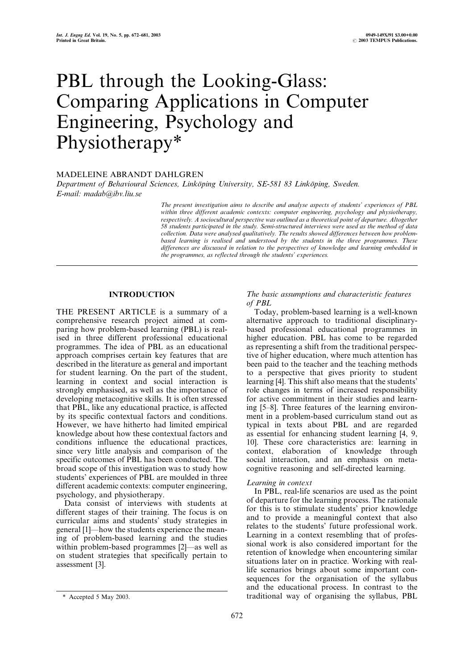# PBL through the Looking-Glass: Comparing Applications in Computer Engineering, Psychology and Physiotherapy\*

# MADELEINE ABRANDT DAHLGREN

Department of Behavioural Sciences, Linköping University, SE-581 83 Linköping, Sweden. E-mail: madab@ibv.liu.se

> The present investigation aims to describe and analyse aspects of students' experiences of PBL within three different academic contexts: computer engineering, psychology and physiotherapy, respectively. A sociocultural perspective was outlined as a theoretical point of departure. Altogether 58 students participated in the study. Semi-structured interviews were used as the method of data collection. Data were analysed qualitatively. The results showed differences between how problembased learning is realised and understood by the students in the three programmes. These differences are discussed in relation to the perspectives of knowledge and learning embedded in the programmes, as reflected through the students' experiences.

# INTRODUCTION

THE PRESENT ARTICLE is a summary of a comprehensive research project aimed at comparing how problem-based learning (PBL) is realised in three different professional educational programmes. The idea of PBL as an educational approach comprises certain key features that are described in the literature as general and important for student learning. On the part of the student, learning in context and social interaction is strongly emphasised, as well as the importance of developing metacognitive skills. It is often stressed that PBL, like any educational practice, is affected by its specific contextual factors and conditions. However, we have hitherto had limited empirical knowledge about how these contextual factors and conditions influence the educational practices, since very little analysis and comparison of the specific outcomes of PBL has been conducted. The broad scope of this investigation was to study how students' experiences of PBL are moulded in three different academic contexts: computer engineering, psychology, and physiotherapy.

Data consist of interviews with students at different stages of their training. The focus is on curricular aims and students' study strategies in general [1]—how the students experience the meaning of problem-based learning and the studies within problem-based programmes  $[2]$ —as well as on student strategies that specifically pertain to assessment [3].

## The basic assumptions and characteristic features of PBL

Today, problem-based learning is a well-known alternative approach to traditional disciplinarybased professional educational programmes in higher education. PBL has come to be regarded as representing a shift from the traditional perspective of higher education, where much attention has been paid to the teacher and the teaching methods to a perspective that gives priority to student learning [4]. This shift also means that the students' role changes in terms of increased responsibility for active commitment in their studies and learning [5-8]. Three features of the learning environment in a problem-based curriculum stand out as typical in texts about PBL and are regarded as essential for enhancing student learning [4, 9, 10]. These core characteristics are: learning in context, elaboration of knowledge through social interaction, and an emphasis on metacognitive reasoning and self-directed learning.

#### Learning in context

In PBL, real-life scenarios are used as the point of departure for the learning process. The rationale for this is to stimulate students' prior knowledge and to provide a meaningful context that also relates to the students' future professional work. Learning in a context resembling that of professional work is also considered important for the retention of knowledge when encountering similar situations later on in practice. Working with reallife scenarios brings about some important consequences for the organisation of the syllabus and the educational process. In contrast to the \* Accepted 5 May 2003. traditional way of organising the syllabus, PBL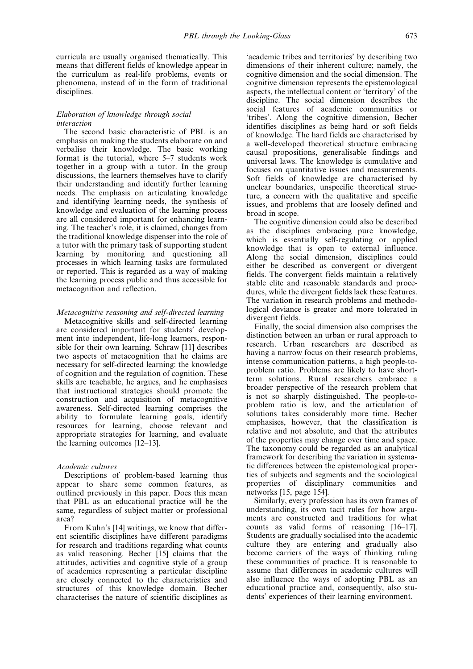curricula are usually organised thematically. This means that different fields of knowledge appear in the curriculum as real-life problems, events or phenomena, instead of in the form of traditional disciplines.

#### Elaboration of knowledge through social interaction

The second basic characteristic of PBL is an emphasis on making the students elaborate on and verbalise their knowledge. The basic working format is the tutorial, where  $5-7$  students work together in a group with a tutor. In the group discussions, the learners themselves have to clarify their understanding and identify further learning needs. The emphasis on articulating knowledge and identifying learning needs, the synthesis of knowledge and evaluation of the learning process are all considered important for enhancing learning. The teacher's role, it is claimed, changes from the traditional knowledge dispenser into the role of a tutor with the primary task of supporting student learning by monitoring and questioning all processes in which learning tasks are formulated or reported. This is regarded as a way of making the learning process public and thus accessible for metacognition and reflection.

#### Metacognitive reasoning and self-directed learning

Metacognitive skills and self-directed learning are considered important for students' development into independent, life-long learners, responsible for their own learning. Schraw [11] describes two aspects of metacognition that he claims are necessary for self-directed learning: the knowledge of cognition and the regulation of cognition. These skills are teachable, he argues, and he emphasises that instructional strategies should promote the construction and acquisition of metacognitive awareness. Self-directed learning comprises the ability to formulate learning goals, identify resources for learning, choose relevant and appropriate strategies for learning, and evaluate the learning outcomes  $[12-13]$ .

# Academic cultures

Descriptions of problem-based learning thus appear to share some common features, as outlined previously in this paper. Does this mean that PBL as an educational practice will be the same, regardless of subject matter or professional area?

From Kuhn's [14] writings, we know that different scientific disciplines have different paradigms for research and traditions regarding what counts as valid reasoning. Becher [15] claims that the attitudes, activities and cognitive style of a group of academics representing a particular discipline are closely connected to the characteristics and structures of this knowledge domain. Becher characterises the nature of scientific disciplines as `academic tribes and territories' by describing two dimensions of their inherent culture; namely, the cognitive dimension and the social dimension. The cognitive dimension represents the epistemological aspects, the intellectual content or `territory' of the discipline. The social dimension describes the social features of academic communities or `tribes'. Along the cognitive dimension, Becher identifies disciplines as being hard or soft fields of knowledge. The hard fields are characterised by a well-developed theoretical structure embracing causal propositions, generalisable findings and universal laws. The knowledge is cumulative and focuses on quantitative issues and measurements. Soft fields of knowledge are characterised by unclear boundaries, unspecific theoretical structure, a concern with the qualitative and specific issues, and problems that are loosely defined and broad in scope.

The cognitive dimension could also be described as the disciplines embracing pure knowledge, which is essentially self-regulating or applied knowledge that is open to external influence. Along the social dimension, disciplines could either be described as convergent or divergent fields. The convergent fields maintain a relatively stable elite and reasonable standards and procedures, while the divergent fields lack these features. The variation in research problems and methodological deviance is greater and more tolerated in divergent fields.

Finally, the social dimension also comprises the distinction between an urban or rural approach to research. Urban researchers are described as having a narrow focus on their research problems, intense communication patterns, a high people-toproblem ratio. Problems are likely to have shortterm solutions. Rural researchers embrace a broader perspective of the research problem that is not so sharply distinguished. The people-toproblem ratio is low, and the articulation of solutions takes considerably more time. Becher emphasises, however, that the classification is relative and not absolute, and that the attributes of the properties may change over time and space. The taxonomy could be regarded as an analytical framework for describing the variation in systematic differences between the epistemological properties of subjects and segments and the sociological properties of disciplinary communities and networks [15, page 154].

Similarly, every profession has its own frames of understanding, its own tacit rules for how arguments are constructed and traditions for what counts as valid forms of reasoning  $[16–17]$ . Students are gradually socialised into the academic culture they are entering and gradually also become carriers of the ways of thinking ruling these communities of practice. It is reasonable to assume that differences in academic cultures will also influence the ways of adopting PBL as an educational practice and, consequently, also students' experiences of their learning environment.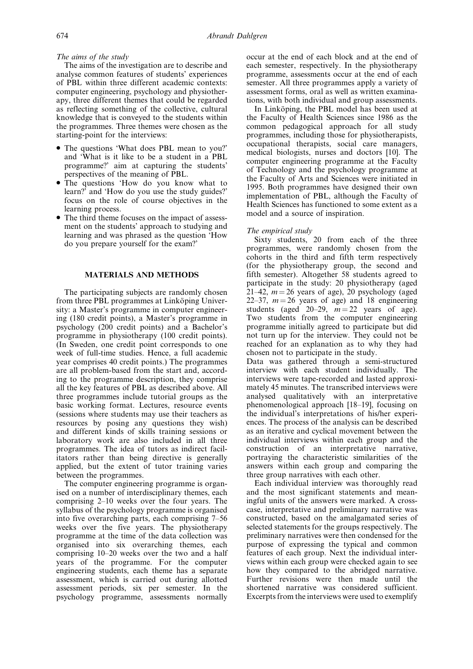# The aims of the study

The aims of the investigation are to describe and analyse common features of students' experiences of PBL within three different academic contexts: computer engineering, psychology and physiotherapy, three different themes that could be regarded as reflecting something of the collective, cultural knowledge that is conveyed to the students within the programmes. Three themes were chosen as the starting-point for the interviews:

- . The questions `What does PBL mean to you?' and `What is it like to be a student in a PBL programme?' aim at capturing the students' perspectives of the meaning of PBL.
- . The questions `How do you know what to learn?' and 'How do you use the study guides?' focus on the role of course objectives in the learning process.
- . The third theme focuses on the impact of assessment on the students' approach to studying and learning and was phrased as the question `How do you prepare yourself for the exam?'

# MATERIALS AND METHODS

The participating subjects are randomly chosen from three PBL programmes at Linkoping University: a Master's programme in computer engineering (180 credit points), a Master's programme in psychology (200 credit points) and a Bachelor's programme in physiotherapy (100 credit points). (In Sweden, one credit point corresponds to one week of full-time studies. Hence, a full academic year comprises 40 credit points.) The programmes are all problem-based from the start and, according to the programme description, they comprise all the key features of PBL as described above. All three programmes include tutorial groups as the basic working format. Lectures, resource events (sessions where students may use their teachers as resources by posing any questions they wish) and different kinds of skills training sessions or laboratory work are also included in all three programmes. The idea of tutors as indirect facilitators rather than being directive is generally applied, but the extent of tutor training varies between the programmes.

The computer engineering programme is organised on a number of interdisciplinary themes, each comprising 2–10 weeks over the four years. The syllabus of the psychology programme is organised into five overarching parts, each comprising  $7-56$ weeks over the five years. The physiotherapy programme at the time of the data collection was organised into six overarching themes, each comprising 10-20 weeks over the two and a half years of the programme. For the computer engineering students, each theme has a separate assessment, which is carried out during allotted assessment periods, six per semester. In the psychology programme, assessments normally

occur at the end of each block and at the end of each semester, respectively. In the physiotherapy programme, assessments occur at the end of each semester. All three programmes apply a variety of assessment forms, oral as well as written examinations, with both individual and group assessments.

In Linköping, the PBL model has been used at the Faculty of Health Sciences since 1986 as the common pedagogical approach for all study programmes, including those for physiotherapists, occupational therapists, social care managers, medical biologists, nurses and doctors [10]. The computer engineering programme at the Faculty of Technology and the psychology programme at the Faculty of Arts and Sciences were initiated in 1995. Both programmes have designed their own implementation of PBL, although the Faculty of Health Sciences has functioned to some extent as a model and a source of inspiration.

#### The empirical study

Sixty students, 20 from each of the three programmes, were randomly chosen from the cohorts in the third and fifth term respectively (for the physiotherapy group, the second and fifth semester). Altogether 58 students agreed to participate in the study: 20 physiotherapy (aged 21–42,  $m = 26$  years of age), 20 psychology (aged 22–37,  $m = 26$  years of age) and 18 engineering students (aged 20-29,  $m = 22$  years of age). Two students from the computer engineering programme initially agreed to participate but did not turn up for the interview. They could not be reached for an explanation as to why they had chosen not to participate in the study.

Data was gathered through a semi-structured interview with each student individually. The interviews were tape-recorded and lasted approximately 45 minutes. The transcribed interviews were analysed qualitatively with an interpretative phenomenological approach [18-19], focusing on the individual's interpretations of his/her experiences. The process of the analysis can be described as an iterative and cyclical movement between the individual interviews within each group and the construction of an interpretative narrative, portraying the characteristic similarities of the answers within each group and comparing the three group narratives with each other.

Each individual interview was thoroughly read and the most significant statements and meaningful units of the answers were marked. A crosscase, interpretative and preliminary narrative was constructed, based on the amalgamated series of selected statements for the groups respectively. The preliminary narratives were then condensed for the purpose of expressing the typical and common features of each group. Next the individual interviews within each group were checked again to see how they compared to the abridged narrative. Further revisions were then made until the shortened narrative was considered sufficient. Excerpts from the interviews were used to exemplify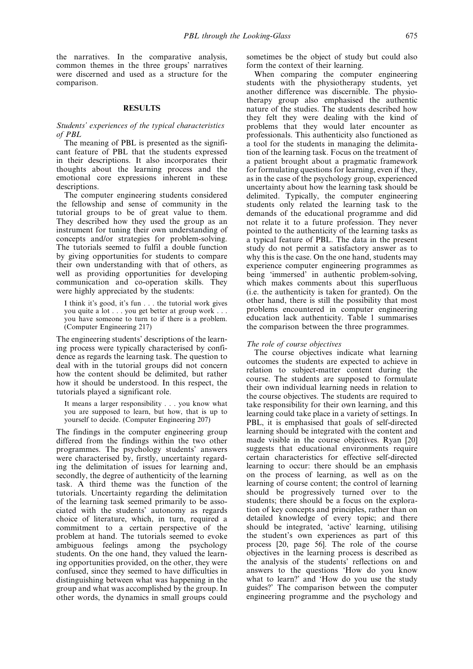the narratives. In the comparative analysis, common themes in the three groups' narratives were discerned and used as a structure for the comparison.

## RESULTS

#### Students' experiences of the typical characteristics of PBL

The meaning of PBL is presented as the significant feature of PBL that the students expressed in their descriptions. It also incorporates their thoughts about the learning process and the emotional core expressions inherent in these descriptions.

The computer engineering students considered the fellowship and sense of community in the tutorial groups to be of great value to them. They described how they used the group as an instrument for tuning their own understanding of concepts and/or strategies for problem-solving. The tutorials seemed to fulfil a double function by giving opportunities for students to compare their own understanding with that of others, as well as providing opportunities for developing communication and co-operation skills. They were highly appreciated by the students:

I think it's good, it's fun . . . the tutorial work gives you quite a lot . . . you get better at group work . . . you have someone to turn to if there is a problem. (Computer Engineering 217)

The engineering students' descriptions of the learning process were typically characterised by confidence as regards the learning task. The question to deal with in the tutorial groups did not concern how the content should be delimited, but rather how it should be understood. In this respect, the tutorials played a significant role.

It means a larger responsibility . . . you know what you are supposed to learn, but how, that is up to yourself to decide. (Computer Engineering 207)

The findings in the computer engineering group differed from the findings within the two other programmes. The psychology students' answers were characterised by, firstly, uncertainty regarding the delimitation of issues for learning and, secondly, the degree of authenticity of the learning task. A third theme was the function of the tutorials. Uncertainty regarding the delimitation of the learning task seemed primarily to be associated with the students' autonomy as regards choice of literature, which, in turn, required a commitment to a certain perspective of the problem at hand. The tutorials seemed to evoke ambiguous feelings among the psychology students. On the one hand, they valued the learning opportunities provided, on the other, they were confused, since they seemed to have difficulties in distinguishing between what was happening in the group and what was accomplished by the group. In other words, the dynamics in small groups could sometimes be the object of study but could also form the context of their learning.

When comparing the computer engineering students with the physiotherapy students, yet another difference was discernible. The physiotherapy group also emphasised the authentic nature of the studies. The students described how they felt they were dealing with the kind of problems that they would later encounter as professionals. This authenticity also functioned as a tool for the students in managing the delimitation of the learning task. Focus on the treatment of a patient brought about a pragmatic framework for formulating questions for learning, even if they, as in the case of the psychology group, experienced uncertainty about how the learning task should be delimited. Typically, the computer engineering students only related the learning task to the demands of the educational programme and did not relate it to a future profession. They never pointed to the authenticity of the learning tasks as a typical feature of PBL. The data in the present study do not permit a satisfactory answer as to why this is the case. On the one hand, students may experience computer engineering programmes as being 'immersed' in authentic problem-solving, which makes comments about this superfluous (i.e. the authenticity is taken for granted). On the other hand, there is still the possibility that most problems encountered in computer engineering education lack authenticity. Table 1 summarises the comparison between the three programmes.

#### The role of course objectives

The course objectives indicate what learning outcomes the students are expected to achieve in relation to subject-matter content during the course. The students are supposed to formulate their own individual learning needs in relation to the course objectives. The students are required to take responsibility for their own learning, and this learning could take place in a variety of settings. In PBL, it is emphasised that goals of self-directed learning should be integrated with the content and made visible in the course objectives. Ryan [20] suggests that educational environments require certain characteristics for effective self-directed learning to occur: there should be an emphasis on the process of learning, as well as on the learning of course content; the control of learning should be progressively turned over to the students; there should be a focus on the exploration of key concepts and principles, rather than on detailed knowledge of every topic; and there should be integrated, `active' learning, utilising the student's own experiences as part of this process [20, page 56]. The role of the course objectives in the learning process is described as the analysis of the students' reflections on and answers to the questions `How do you know what to learn?' and 'How do you use the study guides?' The comparison between the computer engineering programme and the psychology and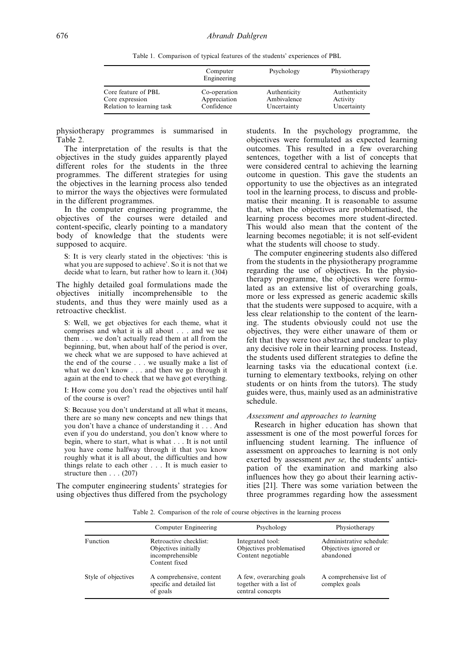Table 1. Comparison of typical features of the students' experiences of PBL

|                           | Computer<br>Engineering | Psychology   | Physiotherapy |
|---------------------------|-------------------------|--------------|---------------|
| Core feature of PBL       | Co-operation            | Authenticity | Authenticity  |
| Core expression           | Appreciation            | Ambivalence  | Activity      |
| Relation to learning task | Confidence              | Uncertainty  | Uncertainty   |

physiotherapy programmes is summarised in Table 2.

The interpretation of the results is that the objectives in the study guides apparently played different roles for the students in the three programmes. The different strategies for using the objectives in the learning process also tended to mirror the ways the objectives were formulated in the different programmes.

In the computer engineering programme, the objectives of the courses were detailed and content-specific, clearly pointing to a mandatory body of knowledge that the students were supposed to acquire.

S: It is very clearly stated in the objectives: `this is what you are supposed to achieve'. So it is not that we decide what to learn, but rather how to learn it. (304)

The highly detailed goal formulations made the objectives initially incomprehensible to the students, and thus they were mainly used as a retroactive checklist.

S: Well, we get objectives for each theme, what it comprises and what it is all about . . . and we use them . . . we don't actually read them at all from the beginning, but, when about half of the period is over, we check what we are supposed to have achieved at the end of the course . . . we usually make a list of what we don't know . . . and then we go through it again at the end to check that we have got everything.

I: How come you don't read the objectives until half of the course is over?

S: Because you don't understand at all what it means, there are so many new concepts and new things that you don't have a chance of understanding it . . . And even if you do understand, you don't know where to begin, where to start, what is what . . . It is not until you have come halfway through it that you know roughly what it is all about, the difficulties and how things relate to each other . . . It is much easier to structure then . . . (207)

The computer engineering students' strategies for using objectives thus differed from the psychology students. In the psychology programme, the objectives were formulated as expected learning outcomes. This resulted in a few overarching sentences, together with a list of concepts that were considered central to achieving the learning outcome in question. This gave the students an opportunity to use the objectives as an integrated tool in the learning process, to discuss and problematise their meaning. It is reasonable to assume that, when the objectives are problematised, the learning process becomes more student-directed. This would also mean that the content of the learning becomes negotiable; it is not self-evident what the students will choose to study.

The computer engineering students also differed from the students in the physiotherapy programme regarding the use of objectives. In the physiotherapy programme, the objectives were formulated as an extensive list of overarching goals, more or less expressed as generic academic skills that the students were supposed to acquire, with a less clear relationship to the content of the learning. The students obviously could not use the objectives, they were either unaware of them or felt that they were too abstract and unclear to play any decisive role in their learning process. Instead, the students used different strategies to define the learning tasks via the educational context (i.e. turning to elementary textbooks, relying on other students or on hints from the tutors). The study guides were, thus, mainly used as an administrative schedule.

#### Assessment and approaches to learning

Research in higher education has shown that assessment is one of the most powerful forces for influencing student learning. The influence of assessment on approaches to learning is not only exerted by assessment per se, the students' anticipation of the examination and marking also influences how they go about their learning activities [21]. There was some variation between the three programmes regarding how the assessment

Table 2. Comparison of the role of course objectives in the learning process

|                     | Computer Engineering                                                                | Psychology                                                              | Physiotherapy                                                  |
|---------------------|-------------------------------------------------------------------------------------|-------------------------------------------------------------------------|----------------------------------------------------------------|
| Function            | Retroactive checklist:<br>Objectives initially<br>incomprehensible<br>Content fixed | Integrated tool:<br>Objectives problematised<br>Content negotiable      | Administrative schedule:<br>Objectives ignored or<br>abandoned |
| Style of objectives | A comprehensive, content<br>specific and detailed list<br>of goals                  | A few, overarching goals<br>together with a list of<br>central concepts | A comprehensive list of<br>complex goals                       |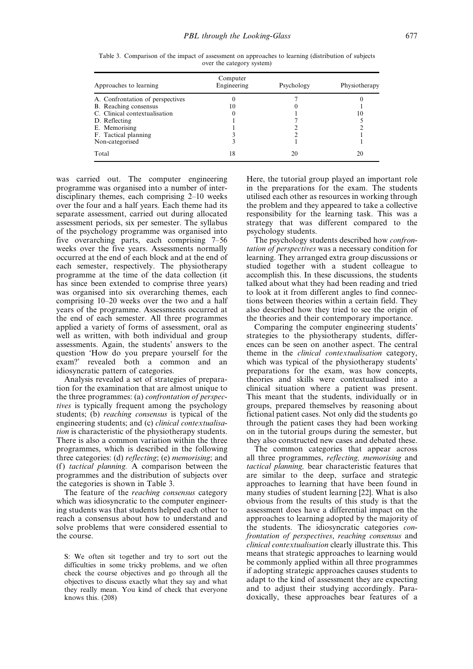| Approaches to learning           | Computer<br>Engineering | Psychology | Physiotherapy |
|----------------------------------|-------------------------|------------|---------------|
| A. Confrontation of perspectives |                         |            |               |
| B. Reaching consensus            | 10                      |            |               |
| C. Clinical contextualisation    | O                       |            | 10            |
| D. Reflecting                    |                         |            |               |
| E. Memorising                    |                         |            |               |
| F. Tactical planning             |                         |            |               |
| Non-categorised                  |                         |            |               |
| Total                            | 18                      | 20         |               |

Table 3. Comparison of the impact of assessment on approaches to learning (distribution of subjects over the category system)

was carried out. The computer engineering programme was organised into a number of interdisciplinary themes, each comprising  $2-10$  weeks over the four and a half years. Each theme had its separate assessment, carried out during allocated assessment periods, six per semester. The syllabus of the psychology programme was organised into five overarching parts, each comprising  $7-56$ weeks over the five years. Assessments normally occurred at the end of each block and at the end of each semester, respectively. The physiotherapy programme at the time of the data collection (it has since been extended to comprise three years) was organised into six overarching themes, each comprising 10–20 weeks over the two and a half years of the programme. Assessments occurred at the end of each semester. All three programmes applied a variety of forms of assessment, oral as well as written, with both individual and group assessments. Again, the students' answers to the question `How do you prepare yourself for the exam?' revealed both a common and an idiosyncratic pattern of categories.

Analysis revealed a set of strategies of preparation for the examination that are almost unique to the three programmes: (a) confrontation of perspectives is typically frequent among the psychology students; (b) reaching consensus is typical of the engineering students; and (c) clinical contextualisation is characteristic of the physiotherapy students. There is also a common variation within the three programmes, which is described in the following three categories: (d) reflecting; (e) memorising; and (f) tactical planning. A comparison between the programmes and the distribution of subjects over the categories is shown in Table 3.

The feature of the reaching consensus category which was idiosyncratic to the computer engineering students was that students helped each other to reach a consensus about how to understand and solve problems that were considered essential to the course.

S: We often sit together and try to sort out the difficulties in some tricky problems, and we often check the course objectives and go through all the objectives to discuss exactly what they say and what they really mean. You kind of check that everyone knows this. (208)

Here, the tutorial group played an important role in the preparations for the exam. The students utilised each other as resources in working through the problem and they appeared to take a collective responsibility for the learning task. This was a strategy that was different compared to the psychology students.

The psychology students described how *confron*tation of perspectives was a necessary condition for learning. They arranged extra group discussions or studied together with a student colleague to accomplish this. In these discussions, the students talked about what they had been reading and tried to look at it from different angles to find connections between theories within a certain field. They also described how they tried to see the origin of the theories and their contemporary importance.

Comparing the computer engineering students' strategies to the physiotherapy students, differences can be seen on another aspect. The central theme in the clinical contextualisation category, which was typical of the physiotherapy students' preparations for the exam, was how concepts, theories and skills were contextualised into a clinical situation where a patient was present. This meant that the students, individually or in groups, prepared themselves by reasoning about fictional patient cases. Not only did the students go through the patient cases they had been working on in the tutorial groups during the semester, but they also constructed new cases and debated these.

The common categories that appear across all three programmes, reflecting, memorising and tactical planning, bear characteristic features that are similar to the deep, surface and strategic approaches to learning that have been found in many studies of student learning [22]. What is also obvious from the results of this study is that the assessment does have a differential impact on the approaches to learning adopted by the majority of the students. The idiosyncratic categories confrontation of perspectives, reaching consensus and clinical contextualisation clearly illustrate this. This means that strategic approaches to learning would be commonly applied within all three programmes if adopting strategic approaches causes students to adapt to the kind of assessment they are expecting and to adjust their studying accordingly. Paradoxically, these approaches bear features of a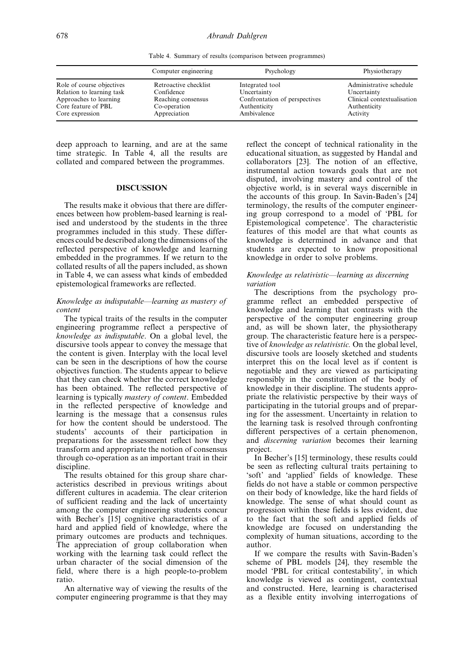Table 4. Summary of results (comparison between programmes)

|                           | Computer engineering  | Psychology                    | Physiotherapy              |
|---------------------------|-----------------------|-------------------------------|----------------------------|
| Role of course objectives | Retroactive checklist | Integrated tool               | Administrative schedule    |
| Relation to learning task | Confidence            | Uncertainty                   | Uncertainty                |
| Approaches to learning    | Reaching consensus    | Confrontation of perspectives | Clinical contextualisation |
| Core feature of PBL       | Co-operation          | Authenticity                  | Authenticity               |
| Core expression           | Appreciation          | Ambivalence                   | Activity                   |

deep approach to learning, and are at the same time strategic. In Table 4, all the results are collated and compared between the programmes.

#### DISCUSSION

The results make it obvious that there are differences between how problem-based learning is realised and understood by the students in the three programmes included in this study. These differences could be described along the dimensions of the reflected perspective of knowledge and learning embedded in the programmes. If we return to the collated results of all the papers included, as shown in Table 4, we can assess what kinds of embedded epistemological frameworks are reflected.

# Knowledge as indisputable—learning as mastery of content

The typical traits of the results in the computer engineering programme reflect a perspective of knowledge as indisputable. On a global level, the discursive tools appear to convey the message that the content is given. Interplay with the local level can be seen in the descriptions of how the course objectives function. The students appear to believe that they can check whether the correct knowledge has been obtained. The reflected perspective of learning is typically mastery of content. Embedded in the reflected perspective of knowledge and learning is the message that a consensus rules for how the content should be understood. The students' accounts of their participation in preparations for the assessment reflect how they transform and appropriate the notion of consensus through co-operation as an important trait in their discipline.

The results obtained for this group share characteristics described in previous writings about different cultures in academia. The clear criterion of sufficient reading and the lack of uncertainty among the computer engineering students concur with Becher's [15] cognitive characteristics of a hard and applied field of knowledge, where the primary outcomes are products and techniques. The appreciation of group collaboration when working with the learning task could reflect the urban character of the social dimension of the field, where there is a high people-to-problem ratio.

An alternative way of viewing the results of the computer engineering programme is that they may reflect the concept of technical rationality in the educational situation, as suggested by Handal and collaborators [23]. The notion of an effective, instrumental action towards goals that are not disputed, involving mastery and control of the objective world, is in several ways discernible in the accounts of this group. In Savin-Baden's [24] terminology, the results of the computer engineering group correspond to a model of `PBL for Epistemological competence'. The characteristic features of this model are that what counts as knowledge is determined in advance and that students are expected to know propositional knowledge in order to solve problems.

# Knowledge as relativistic—learning as discerning variation

The descriptions from the psychology programme reflect an embedded perspective of knowledge and learning that contrasts with the perspective of the computer engineering group and, as will be shown later, the physiotherapy group. The characteristic feature here is a perspective of knowledge as relativistic. On the global level, discursive tools are loosely sketched and students interpret this on the local level as if content is negotiable and they are viewed as participating responsibly in the constitution of the body of knowledge in their discipline. The students appropriate the relativistic perspective by their ways of participating in the tutorial groups and of preparing for the assessment. Uncertainty in relation to the learning task is resolved through confronting different perspectives of a certain phenomenon, and discerning variation becomes their learning project.

In Becher's [15] terminology, these results could be seen as reflecting cultural traits pertaining to `soft' and `applied' fields of knowledge. These fields do not have a stable or common perspective on their body of knowledge, like the hard fields of knowledge. The sense of what should count as progression within these fields is less evident, due to the fact that the soft and applied fields of knowledge are focused on understanding the complexity of human situations, according to the author.

If we compare the results with Savin-Baden's scheme of PBL models [24], they resemble the model `PBL for critical contestability', in which knowledge is viewed as contingent, contextual and constructed. Here, learning is characterised as a flexible entity involving interrogations of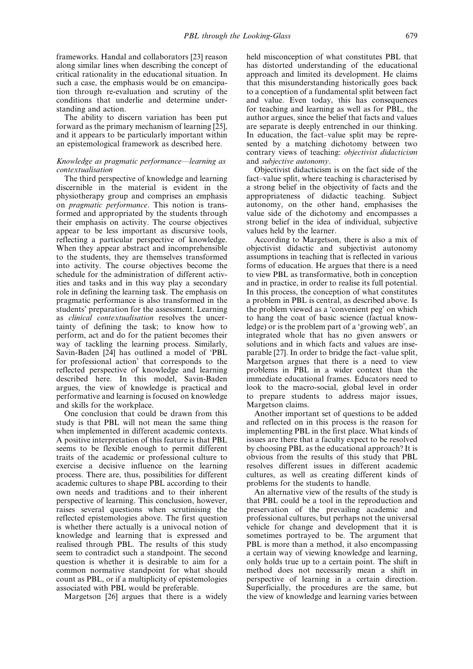frameworks. Handal and collaborators [23] reason along similar lines when describing the concept of critical rationality in the educational situation. In such a case, the emphasis would be on emancipation through re-evaluation and scrutiny of the conditions that underlie and determine understanding and action.

The ability to discern variation has been put forward as the primary mechanism of learning [25], and it appears to be particularly important within an epistemological framework as described here.

#### Knowledge as pragmatic performance—learning as contextualisation

The third perspective of knowledge and learning discernible in the material is evident in the physiotherapy group and comprises an emphasis on pragmatic performance. This notion is transformed and appropriated by the students through their emphasis on activity. The course objectives appear to be less important as discursive tools, reflecting a particular perspective of knowledge. When they appear abstract and incomprehensible to the students, they are themselves transformed into activity. The course objectives become the schedule for the administration of different activities and tasks and in this way play a secondary role in defining the learning task. The emphasis on pragmatic performance is also transformed in the students' preparation for the assessment. Learning as clinical contextualisation resolves the uncertainty of defining the task; to know how to perform, act and do for the patient becomes their way of tackling the learning process. Similarly, Savin-Baden [24] has outlined a model of 'PBL for professional action' that corresponds to the reflected perspective of knowledge and learning described here. In this model, Savin-Baden argues, the view of knowledge is practical and performative and learning is focused on knowledge and skills for the workplace.

One conclusion that could be drawn from this study is that PBL will not mean the same thing when implemented in different academic contexts. A positive interpretation of this feature is that PBL seems to be flexible enough to permit different traits of the academic or professional culture to exercise a decisive influence on the learning process. There are, thus, possibilities for different academic cultures to shape PBL according to their own needs and traditions and to their inherent perspective of learning. This conclusion, however, raises several questions when scrutinising the reflected epistemologies above. The first question is whether there actually is a univocal notion of knowledge and learning that is expressed and realised through PBL. The results of this study seem to contradict such a standpoint. The second question is whether it is desirable to aim for a common normative standpoint for what should count as PBL, or if a multiplicity of epistemologies associated with PBL would be preferable.

Margetson [26] argues that there is a widely

held misconception of what constitutes PBL that has distorted understanding of the educational approach and limited its development. He claims that this misunderstanding historically goes back to a conception of a fundamental split between fact and value. Even today, this has consequences for teaching and learning as well as for PBL, the author argues, since the belief that facts and values are separate is deeply entrenched in our thinking. In education, the fact-value split may be represented by a matching dichotomy between two contrary views of teaching: objectivist didacticism and subjective autonomy.

Objectivist didacticism is on the fact side of the fact–value split, where teaching is characterised by a strong belief in the objectivity of facts and the appropriateness of didactic teaching. Subject autonomy, on the other hand, emphasises the value side of the dichotomy and encompasses a strong belief in the idea of individual, subjective values held by the learner.

According to Margetson, there is also a mix of objectivist didactic and subjectivist autonomy assumptions in teaching that is reflected in various forms of education. He argues that there is a need to view PBL as transformative, both in conception and in practice, in order to realise its full potential. In this process, the conception of what constitutes a problem in PBL is central, as described above. Is the problem viewed as a `convenient peg' on which to hang the coat of basic science (factual knowledge) or is the problem part of a `growing web', an integrated whole that has no given answers or solutions and in which facts and values are inseparable  $[27]$ . In order to bridge the fact-value split, Margetson argues that there is a need to view problems in PBL in a wider context than the immediate educational frames. Educators need to look to the macro-social, global level in order to prepare students to address major issues, Margetson claims.

Another important set of questions to be added and reflected on in this process is the reason for implementing PBL in the first place. What kinds of issues are there that a faculty expect to be resolved by choosing PBL as the educational approach? It is obvious from the results of this study that PBL resolves different issues in different academic cultures, as well as creating different kinds of problems for the students to handle.

An alternative view of the results of the study is that PBL could be a tool in the reproduction and preservation of the prevailing academic and professional cultures, but perhaps not the universal vehicle for change and development that it is sometimes portrayed to be. The argument that PBL is more than a method, it also encompassing a certain way of viewing knowledge and learning, only holds true up to a certain point. The shift in method does not necessarily mean a shift in perspective of learning in a certain direction. Superficially, the procedures are the same, but the view of knowledge and learning varies between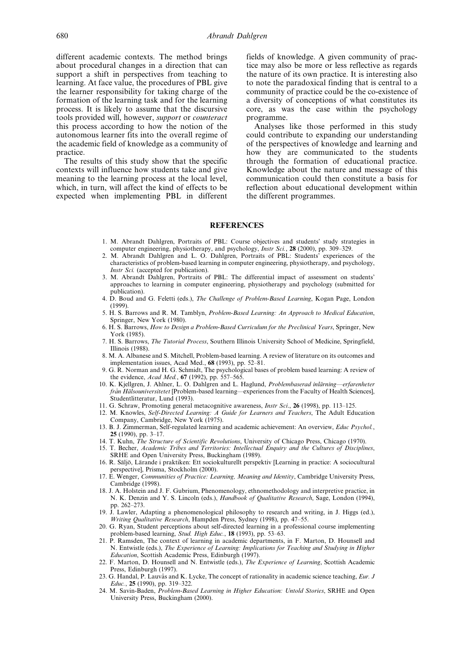different academic contexts. The method brings about procedural changes in a direction that can support a shift in perspectives from teaching to learning. At face value, the procedures of PBL give the learner responsibility for taking charge of the formation of the learning task and for the learning process. It is likely to assume that the discursive tools provided will, however, support or counteract this process according to how the notion of the autonomous learner fits into the overall regime of the academic field of knowledge as a community of practice.

The results of this study show that the specific contexts will influence how students take and give meaning to the learning process at the local level, which, in turn, will affect the kind of effects to be expected when implementing PBL in different fields of knowledge. A given community of practice may also be more or less reflective as regards the nature of its own practice. It is interesting also to note the paradoxical finding that is central to a community of practice could be the co-existence of a diversity of conceptions of what constitutes its core, as was the case within the psychology programme.

Analyses like those performed in this study could contribute to expanding our understanding of the perspectives of knowledge and learning and how they are communicated to the students through the formation of educational practice. Knowledge about the nature and message of this communication could then constitute a basis for reflection about educational development within the different programmes.

#### REFERENCES

- 1. M. Abrandt Dahlgren, Portraits of PBL: Course objectives and students' study strategies in computer engineering, physiotherapy, and psychology, *Instr Sci.*, 28 (2000), pp. 309-329.
- 2. M. Abrandt Dahlgren and L. O. Dahlgren, Portraits of PBL: Students' experiences of the characteristics of problem-based learning in computer engineering, physiotherapy, and psychology, Instr Sci. (accepted for publication).
- 3. M. Abrandt Dahlgren, Portraits of PBL: The differential impact of assessment on students' approaches to learning in computer engineering, physiotherapy and psychology (submitted for publication).
- 4. D. Boud and G. Feletti (eds.), The Challenge of Problem-Based Learning, Kogan Page, London (1999).
- 5. H. S. Barrows and R. M. Tamblyn, Problem-Based Learning: An Approach to Medical Education, Springer, New York (1980).
- 6. H. S. Barrows, How to Design a Problem-Based Curriculum for the Preclinical Years, Springer, New York (1985).
- 7. H. S. Barrows, The Tutorial Process, Southern Illinois University School of Medicine, Springfield, Illinois (1988).
- 8. M. A. Albanese and S. Mitchell, Problem-based learning. A review of literature on its outcomes and implementation issues, Acad Med.,  $68$  (1993), pp. 52-81.
- 9. G. R. Norman and H. G. Schmidt, The psychological bases of problem based learning: A review of the evidence, Acad Med.,  $67$  (1992), pp. 557-565.
- 10. K. Kjellgren, J. Ahlner, L. O. Dahlgren and L. Haglund, Problembaserad inlärning—erfarenheter från Hälsouniversitetet [Problem-based learning—experiences from the Faculty of Health Sciences], Studentlitteratur, Lund (1993).
- 11. G. Schraw, Promoting general metacognitive awareness, *Instr Sci.*, 26 (1998), pp. 113–125.
- 12. M. Knowles, Self-Directed Learning: A Guide for Learners and Teachers, The Adult Education Company, Cambridge, New York (1975).
- 13. B. J. Zimmerman, Self-regulated learning and academic achievement: An overview, Educ Psychol., 25 (1990), pp.  $3-17$ .
- 14. T. Kuhn, The Structure of Scientific Revolutions, University of Chicago Press, Chicago (1970).
- 15. T. Becher, Academic Tribes and Territories: Intellectual Enquiry and the Cultures of Disciplines, SRHE and Open University Press, Buckingham (1989).
- 16. R. Säljö, Lärande i praktiken: Ett sociokulturellt perspektiv [Learning in practice: A sociocultural perspective], Prisma, Stockholm (2000).
- 17. E. Wenger, Communities of Practice: Learning, Meaning and Identity, Cambridge University Press, Cambridge (1998).
- 18. J. A. Holstein and J. F. Gubrium, Phenomenology, ethnomethodology and interpretive practice, in N. K. Denzin and Y. S. Lincoln (eds.), Handbook of Qualitative Research, Sage, London (1994), pp. 262-273.
- 19. J. Lawler, Adapting a phenomenological philosophy to research and writing, in J. Higgs (ed.), Writing Qualitative Research, Hampden Press, Sydney (1998), pp. 47–55.
- 20. G. Ryan, Student perceptions about self-directed learning in a professional course implementing problem-based learning, Stud. High Educ., 18 (1993), pp. 53-63.
- 21. P. Ramsden, The context of learning in academic departments, in F. Marton, D. Hounsell and N. Entwistle (eds.), The Experience of Learning: Implications for Teaching and Studying in Higher Education, Scottish Academic Press, Edinburgh (1997).
- 22. F. Marton, D. Hounsell and N. Entwistle (eds.), The Experience of Learning, Scottish Academic Press, Edinburgh (1997).
- 23. G. Handal, P. Lauvås and K. Lycke, The concept of rationality in academic science teaching, Eur. J Educ., 25 (1990), pp. 319-322.
- 24. M. Savin-Baden, Problem-Based Learning in Higher Education: Untold Stories, SRHE and Open University Press, Buckingham (2000).